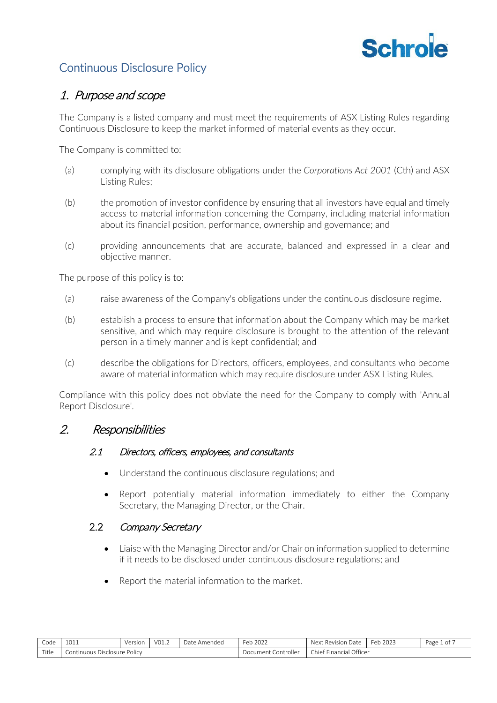

# Continuous Disclosure Policy

# 1. Purpose and scope

The Company is a listed company and must meet the requirements of ASX Listing Rules regarding Continuous Disclosure to keep the market informed of material events as they occur.

The Company is committed to:

- (a) complying with its disclosure obligations under the *Corporations Act 2001* (Cth) and ASX Listing Rules;
- (b) the promotion of investor confidence by ensuring that all investors have equal and timely access to material information concerning the Company, including material information about its financial position, performance, ownership and governance; and
- (c) providing announcements that are accurate, balanced and expressed in a clear and objective manner.

The purpose of this policy is to:

- (a) raise awareness of the Company's obligations under the continuous disclosure regime.
- (b) establish a process to ensure that information about the Company which may be market sensitive, and which may require disclosure is brought to the attention of the relevant person in a timely manner and is kept confidential; and
- (c) describe the obligations for Directors, officers, employees, and consultants who become aware of material information which may require disclosure under ASX Listing Rules.

Compliance with this policy does not obviate the need for the Company to comply with 'Annual Report Disclosure'.

# 2. Responsibilities

## 2.1 Directors, officers, employees, and consultants

- Understand the continuous disclosure regulations; and
- Report potentially material information immediately to either the Company Secretary, the Managing Director, or the Chair.

# 2.2 Company Secretary

- Liaise with the Managing Director and/or Chair on information supplied to determine if it needs to be disclosed under continuous disclosure regulations; and
- Report the material information to the market.

| Code  | 1011              | Version | V01.2 | Date<br>Amended • | 2022<br>⊦eb | Next<br>Revision<br>Date       | Feb<br>2023 | Page<br>1 of |
|-------|-------------------|---------|-------|-------------------|-------------|--------------------------------|-------------|--------------|
| Title | Disclosure Policy |         |       |                   | Controller  | <sup>:</sup> Financial Officer |             |              |
|       | Continuous '      |         |       |                   | Document    | Chief                          |             |              |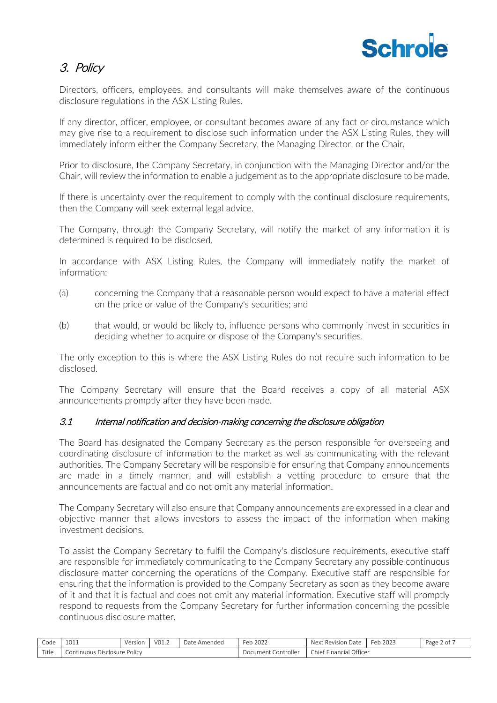

# 3. Policy

Directors, officers, employees, and consultants will make themselves aware of the continuous disclosure regulations in the ASX Listing Rules.

If any director, officer, employee, or consultant becomes aware of any fact or circumstance which may give rise to a requirement to disclose such information under the ASX Listing Rules, they will immediately inform either the Company Secretary, the Managing Director, or the Chair.

Prior to disclosure, the Company Secretary, in conjunction with the Managing Director and/or the Chair, will review the information to enable a judgement as to the appropriate disclosure to be made.

If there is uncertainty over the requirement to comply with the continual disclosure requirements, then the Company will seek external legal advice.

The Company, through the Company Secretary, will notify the market of any information it is determined is required to be disclosed.

In accordance with ASX Listing Rules, the Company will immediately notify the market of information:

- (a) concerning the Company that a reasonable person would expect to have a material effect on the price or value of the Company's securities; and
- (b) that would, or would be likely to, influence persons who commonly invest in securities in deciding whether to acquire or dispose of the Company's securities.

The only exception to this is where the ASX Listing Rules do not require such information to be disclosed.

The Company Secretary will ensure that the Board receives a copy of all material ASX announcements promptly after they have been made.

## 3.1 Internal notification and decision-making concerning the disclosure obligation

The Board has designated the Company Secretary as the person responsible for overseeing and coordinating disclosure of information to the market as well as communicating with the relevant authorities. The Company Secretary will be responsible for ensuring that Company announcements are made in a timely manner, and will establish a vetting procedure to ensure that the announcements are factual and do not omit any material information.

The Company Secretary will also ensure that Company announcements are expressed in a clear and objective manner that allows investors to assess the impact of the information when making investment decisions.

To assist the Company Secretary to fulfil the Company's disclosure requirements, executive staff are responsible for immediately communicating to the Company Secretary any possible continuous disclosure matter concerning the operations of the Company. Executive staff are responsible for ensuring that the information is provided to the Company Secretary as soon as they become aware of it and that it is factual and does not omit any material information. Executive staff will promptly respond to requests from the Company Secretary for further information concerning the possible continuous disclosure matter.

| Code  | 1011                         | Version | V01.2 | Date Amended | Feb 2022            | Next Revision Date      | Feb2023 | Page 2 of 7 |
|-------|------------------------------|---------|-------|--------------|---------------------|-------------------------|---------|-------------|
| Title | Continuous Disclosure Policy |         |       |              | Document Controller | Chief Financial Officer |         |             |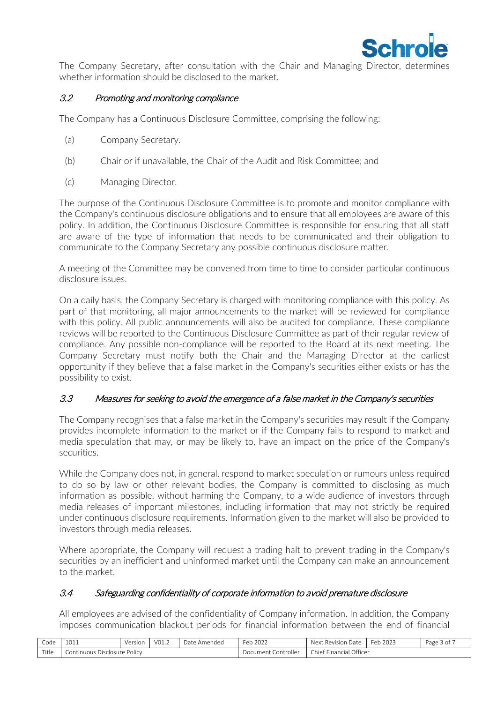

The Company Secretary, after consultation with the Chair and Managing Director, determines whether information should be disclosed to the market.

# 3.2 Promoting and monitoring compliance

The Company has a Continuous Disclosure Committee, comprising the following:

- (a) Company Secretary.
- (b) Chair or if unavailable, the Chair of the Audit and Risk Committee; and
- (c) Managing Director.

The purpose of the Continuous Disclosure Committee is to promote and monitor compliance with the Company's continuous disclosure obligations and to ensure that all employees are aware of this policy. In addition, the Continuous Disclosure Committee is responsible for ensuring that all staff are aware of the type of information that needs to be communicated and their obligation to communicate to the Company Secretary any possible continuous disclosure matter.

A meeting of the Committee may be convened from time to time to consider particular continuous disclosure issues.

On a daily basis, the Company Secretary is charged with monitoring compliance with this policy. As part of that monitoring, all major announcements to the market will be reviewed for compliance with this policy. All public announcements will also be audited for compliance. These compliance reviews will be reported to the Continuous Disclosure Committee as part of their regular review of compliance. Any possible non-compliance will be reported to the Board at its next meeting. The Company Secretary must notify both the Chair and the Managing Director at the earliest opportunity if they believe that a false market in the Company's securities either exists or has the possibility to exist.

## 3.3 Measures for seeking to avoid the emergence of a false market in the Company's securities

The Company recognises that a false market in the Company's securities may result if the Company provides incomplete information to the market or if the Company fails to respond to market and media speculation that may, or may be likely to, have an impact on the price of the Company's securities.

While the Company does not, in general, respond to market speculation or rumours unless required to do so by law or other relevant bodies, the Company is committed to disclosing as much information as possible, without harming the Company, to a wide audience of investors through media releases of important milestones, including information that may not strictly be required under continuous disclosure requirements. Information given to the market will also be provided to investors through media releases.

Where appropriate, the Company will request a trading halt to prevent trading in the Company's securities by an inefficient and uninformed market until the Company can make an announcement to the market.

## 3.4 Safeguarding confidentiality of corporate information to avoid premature disclosure

All employees are advised of the confidentiality of Company information. In addition, the Company imposes communication blackout periods for financial information between the end of financial

| Code  | $\sim$<br>ᅩ◡ᅩ                | Version | 1/0 <sup>1</sup><br>$-$ 0 $+$ . 4 $-$ | Date<br>: Amendec | 12022<br>Feb               | . Revision Date<br>Next             | Feh<br>2023 | Page 5<br>. of |
|-------|------------------------------|---------|---------------------------------------|-------------------|----------------------------|-------------------------------------|-------------|----------------|
| Title | Continuous Disclosure Policy |         |                                       |                   | . Controller<br>Document C | . Officer<br>Chief I<br>Financial ( |             |                |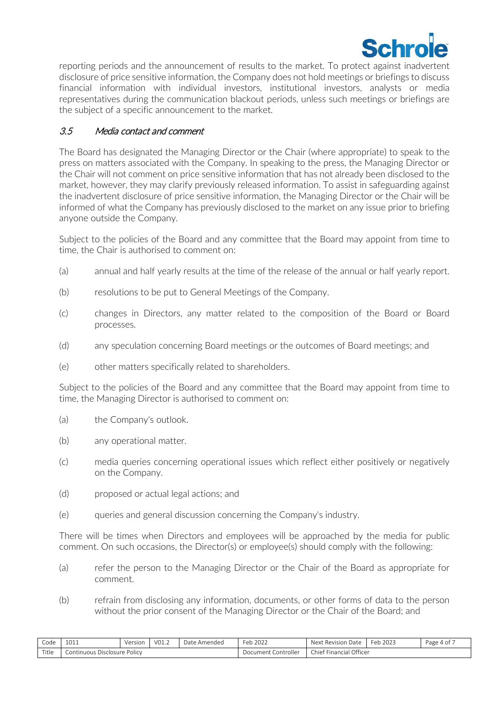

reporting periods and the announcement of results to the market. To protect against inadvertent disclosure of price sensitive information, the Company does not hold meetings or briefings to discuss financial information with individual investors, institutional investors, analysts or media representatives during the communication blackout periods, unless such meetings or briefings are the subject of a specific announcement to the market.

# 3.5 Media contact and comment

The Board has designated the Managing Director or the Chair (where appropriate) to speak to the press on matters associated with the Company. In speaking to the press, the Managing Director or the Chair will not comment on price sensitive information that has not already been disclosed to the market, however, they may clarify previously released information. To assist in safeguarding against the inadvertent disclosure of price sensitive information, the Managing Director or the Chair will be informed of what the Company has previously disclosed to the market on any issue prior to briefing anyone outside the Company.

Subject to the policies of the Board and any committee that the Board may appoint from time to time, the Chair is authorised to comment on:

- (a) annual and half yearly results at the time of the release of the annual or half yearly report.
- (b) resolutions to be put to General Meetings of the Company.
- (c) changes in Directors, any matter related to the composition of the Board or Board processes.
- (d) any speculation concerning Board meetings or the outcomes of Board meetings; and
- (e) other matters specifically related to shareholders.

Subject to the policies of the Board and any committee that the Board may appoint from time to time, the Managing Director is authorised to comment on:

- (a) the Company's outlook.
- (b) any operational matter.
- (c) media queries concerning operational issues which reflect either positively or negatively on the Company.
- (d) proposed or actual legal actions; and
- (e) queries and general discussion concerning the Company's industry.

There will be times when Directors and employees will be approached by the media for public comment. On such occasions, the Director(s) or employee(s) should comply with the following:

- (a) refer the person to the Managing Director or the Chair of the Board as appropriate for comment.
- (b) refrain from disclosing any information, documents, or other forms of data to the person without the prior consent of the Managing Director or the Chair of the Board; and

| Code  | 1011                               | Version | V01.2 | Date<br>: Amended | Feb 2022                 | Next<br>Date<br>Revision             | Feb<br>2023 | Page<br>4 O I |
|-------|------------------------------------|---------|-------|-------------------|--------------------------|--------------------------------------|-------------|---------------|
| Title | Policy<br>Disclosure<br>.ontinuous |         |       |                   | . Controller<br>Document | Officer<br>.<br>Financial<br>chief ' |             |               |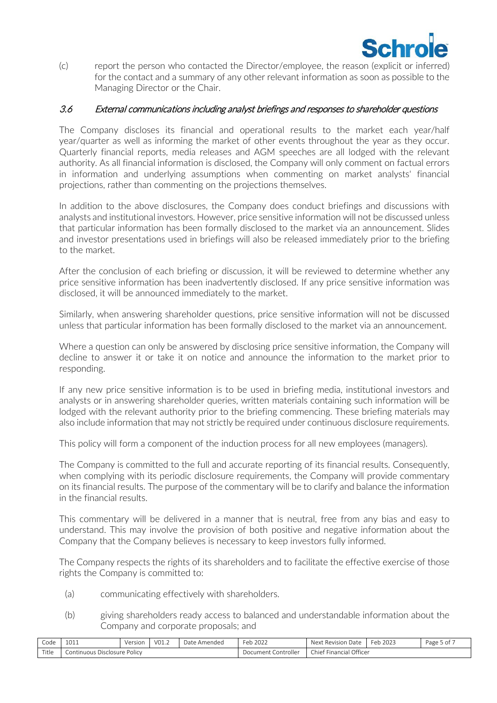

(c) report the person who contacted the Director/employee, the reason (explicit or inferred) for the contact and a summary of any other relevant information as soon as possible to the Managing Director or the Chair.

#### 3.6 External communications including analyst briefings and responses to shareholder questions

The Company discloses its financial and operational results to the market each year/half year/quarter as well as informing the market of other events throughout the year as they occur. Quarterly financial reports, media releases and AGM speeches are all lodged with the relevant authority. As all financial information is disclosed, the Company will only comment on factual errors in information and underlying assumptions when commenting on market analysts' financial projections, rather than commenting on the projections themselves.

In addition to the above disclosures, the Company does conduct briefings and discussions with analysts and institutional investors. However, price sensitive information will not be discussed unless that particular information has been formally disclosed to the market via an announcement. Slides and investor presentations used in briefings will also be released immediately prior to the briefing to the market.

After the conclusion of each briefing or discussion, it will be reviewed to determine whether any price sensitive information has been inadvertently disclosed. If any price sensitive information was disclosed, it will be announced immediately to the market.

Similarly, when answering shareholder questions, price sensitive information will not be discussed unless that particular information has been formally disclosed to the market via an announcement.

Where a question can only be answered by disclosing price sensitive information, the Company will decline to answer it or take it on notice and announce the information to the market prior to responding.

If any new price sensitive information is to be used in briefing media, institutional investors and analysts or in answering shareholder queries, written materials containing such information will be lodged with the relevant authority prior to the briefing commencing. These briefing materials may also include information that may not strictly be required under continuous disclosure requirements.

This policy will form a component of the induction process for all new employees (managers).

The Company is committed to the full and accurate reporting of its financial results. Consequently, when complying with its periodic disclosure requirements, the Company will provide commentary on its financial results. The purpose of the commentary will be to clarify and balance the information in the financial results.

This commentary will be delivered in a manner that is neutral, free from any bias and easy to understand. This may involve the provision of both positive and negative information about the Company that the Company believes is necessary to keep investors fully informed.

The Company respects the rights of its shareholders and to facilitate the effective exercise of those rights the Company is committed to:

- (a) communicating effectively with shareholders.
- (b) giving shareholders ready access to balanced and understandable information about the Company and corporate proposals; and

| Code                   | 1011<br>ᅩ◡ᅩ                  | Version | $\sqrt{0}$<br>$\cup$ 1.4 | Date Amended | Feb 2022            | Next Revision L<br>ı Date | eb 2023<br>Feh. | Page 5 of , |
|------------------------|------------------------------|---------|--------------------------|--------------|---------------------|---------------------------|-----------------|-------------|
| $T_{\text{H}}$<br>itie | Continuous Disclosure Policy |         |                          |              | Document Controller | Chief Financial Officer   |                 |             |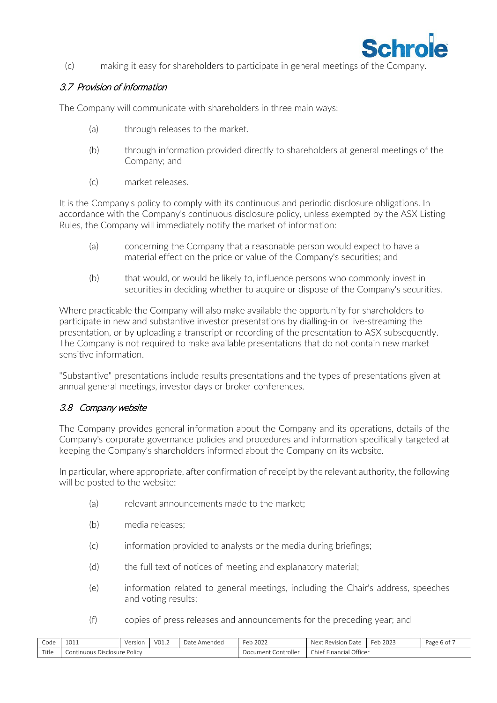

(c) making it easy for shareholders to participate in general meetings of the Company.

# 3.7 Provision of information

The Company will communicate with shareholders in three main ways:

- (a) through releases to the market.
- (b) through information provided directly to shareholders at general meetings of the Company; and
- (c) market releases.

It is the Company's policy to comply with its continuous and periodic disclosure obligations. In accordance with the Company's continuous disclosure policy, unless exempted by the ASX Listing Rules, the Company will immediately notify the market of information:

- (a) concerning the Company that a reasonable person would expect to have a material effect on the price or value of the Company's securities; and
- (b) that would, or would be likely to, influence persons who commonly invest in securities in deciding whether to acquire or dispose of the Company's securities.

Where practicable the Company will also make available the opportunity for shareholders to participate in new and substantive investor presentations by dialling-in or live-streaming the presentation, or by uploading a transcript or recording of the presentation to ASX subsequently. The Company is not required to make available presentations that do not contain new market sensitive information.

"Substantive" presentations include results presentations and the types of presentations given at annual general meetings, investor days or broker conferences.

## 3.8 Company website

The Company provides general information about the Company and its operations, details of the Company's corporate governance policies and procedures and information specifically targeted at keeping the Company's shareholders informed about the Company on its website.

In particular, where appropriate, after confirmation of receipt by the relevant authority, the following will be posted to the website:

- (a) relevant announcements made to the market;
- (b) media releases;
- (c) information provided to analysts or the media during briefings;
- (d) the full text of notices of meeting and explanatory material;
- (e) information related to general meetings, including the Chair's address, speeches and voting results;
- (f) copies of press releases and announcements for the preceding year; and

| Code  | 1011<br>UII                  | Version<br>5.51 | V01.2 | Date Amended | Feb 2022            | Next Revision Date      | Feb 2023 | Page 6 of |
|-------|------------------------------|-----------------|-------|--------------|---------------------|-------------------------|----------|-----------|
| Title | Continuous Disclosure Policy |                 |       |              | Document Controller | Chief Financial Officer |          |           |